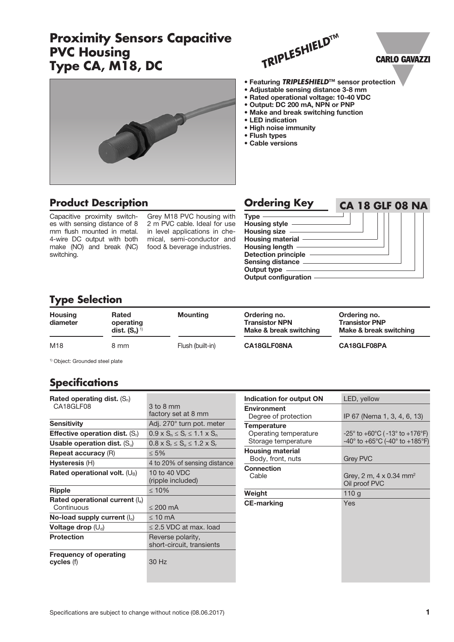## **Proximity Sensors Capacitive PVC Housing Type CA, M18, DC**



• Adjustable sensing distance 3-8 mm • Rated operational voltage: 10-40 VDC • Output: DC 200 mA, NPN or PNP • Make and break switching function

• LED indication • High noise immunity

• Flush types • Cable versions

• Featuring *TRIPLESHIELD***™** sensor protection

# **CARLO GAVAZZI**



## **Product Description**

Capacitive proximity switches with sensing distance of 8 mm flush mounted in metal. 4-wire DC output with both make (NO) and break (NC) switching.

Grey M18 PVC housing with 2 m PVC cable. Ideal for use in level applications in chemical, semi-conductor and food & beverage industries.

| <b>Ordering Key</b>                                                                                                                                                                                 | <b>CA 18 GLF 08 NA</b> |
|-----------------------------------------------------------------------------------------------------------------------------------------------------------------------------------------------------|------------------------|
| <b>Type</b><br>Housing style $-$<br>Housing size -<br>Housing material -<br><b>Housing length</b><br><b>Detection principle</b><br>Sensing distance -<br>Output type<br><b>Output configuration</b> |                        |

### **Type Selection**

| <b>Housing</b><br>diameter | <b>Rated</b><br>operating<br>dist. $(S_n)^{1}$ | <b>Mounting</b>  | Ordering no.<br><b>Transistor NPN</b><br>Make & break switching | Ordering no.<br><b>Transistor PNP</b><br>Make & break switching |
|----------------------------|------------------------------------------------|------------------|-----------------------------------------------------------------|-----------------------------------------------------------------|
| M18                        | 8 mm                                           | Flush (built-in) | CA18GLF08NA                                                     | CA18GLF08PA                                                     |

1) Object: Grounded steel plate

## **Specifications**

| Rated operating dist. $(S_n)$                   |                                                |
|-------------------------------------------------|------------------------------------------------|
| CA18GLF08                                       | 3 to 8 mm                                      |
|                                                 | factory set at 8 mm                            |
| <b>Sensitivity</b>                              | Adj. 270° turn pot. meter                      |
| <b>Effective operation dist.</b> $(S_i)$        | $0.9 \times S_n \le S_r \le 1.1 \times S_n$    |
| Usable operation dist. $(S_u)$                  | $0.8 \times S_r \le S_u \le 1.2 \times S_r$    |
| <b>Repeat accuracy (R)</b>                      | $< 5\%$                                        |
| Hysteresis (H)                                  | 4 to 20% of sensing distance                   |
| Rated operational volt. $(U_B)$                 | 10 to 40 VDC<br>(ripple included)              |
| Ripple                                          | $\leq 10\%$                                    |
| Rated operational current $(I_e)$<br>Continuous | $< 200 \text{ mA}$                             |
|                                                 |                                                |
| No-load supply current $(I_0)$                  | $< 10 \text{ mA}$                              |
| Voltage drop $(\cup_d)$                         | $\leq$ 2.5 VDC at max. load                    |
| <b>Protection</b>                               | Reverse polarity,<br>short-circuit, transients |
| <b>Frequency of operating</b><br>cycles (f)     | 30 Hz                                          |

| Indication for output ON | LED, yellow                                                           |
|--------------------------|-----------------------------------------------------------------------|
| <b>Environment</b>       |                                                                       |
| Degree of protection     | IP 67 (Nema 1, 3, 4, 6, 13)                                           |
| <b>Temperature</b>       |                                                                       |
| Operating temperature    | $-25^{\circ}$ to $+60^{\circ}$ C ( $-13^{\circ}$ to $+176^{\circ}$ F) |
| Storage temperature      | $-40^{\circ}$ to $+65^{\circ}$ C (-40° to $+185^{\circ}$ F)           |
| <b>Housing material</b>  |                                                                       |
| Body, front, nuts        | <b>Grey PVC</b>                                                       |
| <b>Connection</b>        |                                                                       |
| Cable                    | Grey, 2 m, 4 x 0.34 mm <sup>2</sup>                                   |
|                          | Oil proof PVC                                                         |
| Weight                   | 110q                                                                  |
| <b>CE-marking</b>        | Yes                                                                   |
|                          |                                                                       |
|                          |                                                                       |
|                          |                                                                       |